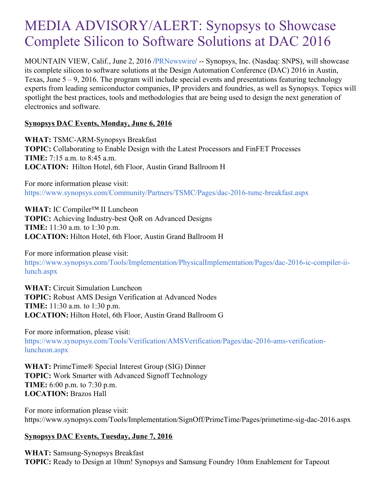# MEDIA ADVISORY/ALERT: Synopsys to Showcase Complete Silicon to Software Solutions at DAC 2016

MOUNTAIN VIEW, Calif., June 2, 2016 [/PRNewswire](http://www.prnewswire.com/)/ -- Synopsys, Inc. (Nasdaq: SNPS), will showcase its complete silicon to software solutions at the Design Automation Conference (DAC) 2016 in Austin, Texas, June  $5 - 9$ , 2016. The program will include special events and presentations featuring technology experts from leading semiconductor companies, IP providers and foundries, as well as Synopsys. Topics will spotlight the best practices, tools and methodologies that are being used to design the next generation of electronics and software.

### **Synopsys DAC Events, Monday, June 6, 2016**

**WHAT:** TSMC-ARM-Synopsys Breakfast **TOPIC:** Collaborating to Enable Design with the Latest Processors and FinFET Processes **TIME:** 7:15 a.m. to 8:45 a.m. **LOCATION:** Hilton Hotel, 6th Floor, Austin Grand Ballroom H

For more information please visit: <https://www.synopsys.com/Community/Partners/TSMC/Pages/dac-2016-tsmc-breakfast.aspx>

**WHAT:** IC Compiler™ II Luncheon

**TOPIC:** Achieving Industry-best QoR on Advanced Designs **TIME:** 11:30 a.m. to 1:30 p.m. **LOCATION:** Hilton Hotel, 6th Floor, Austin Grand Ballroom H

For more information please visit:

[https://www.synopsys.com/Tools/Implementation/PhysicalImplementation/Pages/dac-2016-ic-compiler-ii](https://www.synopsys.com/Tools/Implementation/PhysicalImplementation/Pages/dac-2016-ic-compiler-ii-lunch.aspx)lunch.aspx

**WHAT:** Circuit Simulation Luncheon **TOPIC:** Robust AMS Design Verification at Advanced Nodes **TIME:** 11:30 a.m. to 1:30 p.m. **LOCATION:** Hilton Hotel, 6th Floor, Austin Grand Ballroom G

For more information, please visit: [https://www.synopsys.com/Tools/Verification/AMSVerification/Pages/dac-2016-ams-verification](https://www.synopsys.com/Tools/Verification/AMSVerification/Pages/dac-2016-ams-verification-luncheon.aspx)luncheon.aspx

**WHAT:** PrimeTime® Special Interest Group (SIG) Dinner **TOPIC:** Work Smarter with Advanced Signoff Technology **TIME:** 6:00 p.m. to 7:30 p.m. **LOCATION:** Brazos Hall

For more information please visit: https://www.synopsys.com/Tools/Implementation/SignOff/PrimeTime/Pages/primetime-sig-dac-2016.aspx

## **Synopsys DAC Events, Tuesday, June 7, 2016**

**WHAT:** Samsung-Synopsys Breakfast **TOPIC:** Ready to Design at 10nm! Synopsys and Samsung Foundry 10nm Enablement for Tapeout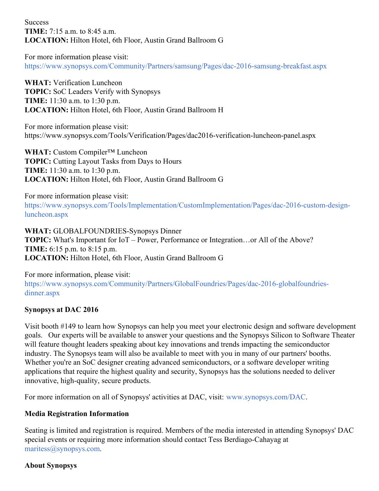**Success TIME:** 7:15 a.m. to 8:45 a.m. **LOCATION:** Hilton Hotel, 6th Floor, Austin Grand Ballroom G

For more information please visit: <https://www.synopsys.com/Community/Partners/samsung/Pages/dac-2016-samsung-breakfast.aspx>

**WHAT:** Verification Luncheon **TOPIC:** SoC Leaders Verify with Synopsys **TIME:** 11:30 a.m. to 1:30 p.m. **LOCATION:** Hilton Hotel, 6th Floor, Austin Grand Ballroom H

For more information please visit: https://www.synopsys.com/Tools/Verification/Pages/dac2016-verification-luncheon-panel.aspx

**WHAT:** Custom Compiler™ Luncheon **TOPIC:** Cutting Layout Tasks from Days to Hours **TIME:** 11:30 a.m. to 1:30 p.m. **LOCATION:** Hilton Hotel, 6th Floor, Austin Grand Ballroom G

For more information please visit: [https://www.synopsys.com/Tools/Implementation/CustomImplementation/Pages/dac-2016-custom-design](https://www.synopsys.com/Tools/Implementation/CustomImplementation/Pages/dac-2016-custom-design-luncheon.aspx)luncheon.aspx

**WHAT:** GLOBALFOUNDRIES-Synopsys Dinner **TOPIC:** What's Important for IoT – Power, Performance or Integration…or All of the Above? **TIME:** 6:15 p.m. to 8:15 p.m. **LOCATION:** Hilton Hotel, 6th Floor, Austin Grand Ballroom G

For more information, please visit:

[https://www.synopsys.com/Community/Partners/GlobalFoundries/Pages/dac-2016-globalfoundries](https://www.synopsys.com/Community/Partners/GlobalFoundries/Pages/dac-2016-globalfoundries-dinner.aspx)dinner.aspx

### **Synopsys at DAC 2016**

Visit booth #149 to learn how Synopsys can help you meet your electronic design and software development goals. Our experts will be available to answer your questions and the Synopsys Silicon to Software Theater will feature thought leaders speaking about key innovations and trends impacting the semiconductor industry. The Synopsys team will also be available to meet with you in many of our partners' booths. Whether you're an SoC designer creating advanced semiconductors, or a software developer writing applications that require the highest quality and security, Synopsys has the solutions needed to deliver innovative, high-quality, secure products.

For more information on all of Synopsys' activities at DAC, visit: [www.synopsys.com/DAC](http://www.synopsys.com/DAC).

### **Media Registration Information**

Seating is limited and registration is required. Members of the media interested in attending Synopsys' DAC special events or requiring more information should contact Tess Berdiago-Cahayag at [maritess@synopsys.com](mailto:maritess@synopsys.com).

### **About Synopsys**